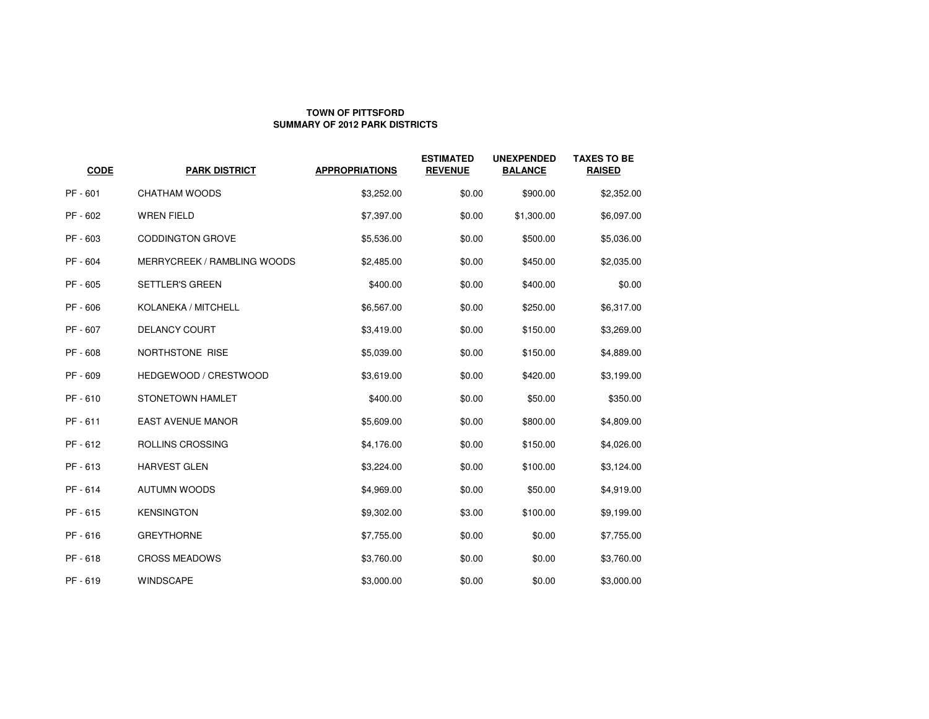## **TOWN OF PITTSFORDSUMMARY OF 2012 PARK DISTRICTS**

| <b>CODE</b> | <b>PARK DISTRICT</b>               | <b>APPROPRIATIONS</b> | <b>ESTIMATED</b><br><b>REVENUE</b> | <b>UNEXPENDED</b><br><b>BALANCE</b> | <b>TAXES TO BE</b><br><b>RAISED</b> |
|-------------|------------------------------------|-----------------------|------------------------------------|-------------------------------------|-------------------------------------|
| PF - 601    | <b>CHATHAM WOODS</b>               | \$3,252.00            | \$0.00                             | \$900.00                            | \$2,352.00                          |
| PF - 602    | <b>WREN FIELD</b>                  | \$7,397.00            | \$0.00                             | \$1,300.00                          | \$6,097.00                          |
| PF - 603    | <b>CODDINGTON GROVE</b>            | \$5,536.00            | \$0.00                             | \$500.00                            | \$5,036.00                          |
| PF - 604    | <b>MERRYCREEK / RAMBLING WOODS</b> | \$2,485.00            | \$0.00                             | \$450.00                            | \$2,035.00                          |
| PF - 605    | <b>SETTLER'S GREEN</b>             | \$400.00              | \$0.00                             | \$400.00                            | \$0.00                              |
| PF - 606    | KOLANEKA / MITCHELL                | \$6,567.00            | \$0.00                             | \$250.00                            | \$6,317.00                          |
| PF - 607    | <b>DELANCY COURT</b>               | \$3,419.00            | \$0.00                             | \$150.00                            | \$3,269.00                          |
| PF - 608    | NORTHSTONE RISE                    | \$5,039.00            | \$0.00                             | \$150.00                            | \$4,889.00                          |
| PF - 609    | HEDGEWOOD / CRESTWOOD              | \$3,619.00            | \$0.00                             | \$420.00                            | \$3,199.00                          |
| PF - 610    | STONETOWN HAMLET                   | \$400.00              | \$0.00                             | \$50.00                             | \$350.00                            |
| PF - 611    | <b>EAST AVENUE MANOR</b>           | \$5,609.00            | \$0.00                             | \$800.00                            | \$4,809.00                          |
| PF - 612    | ROLLINS CROSSING                   | \$4,176.00            | \$0.00                             | \$150.00                            | \$4,026.00                          |
| PF-613      | <b>HARVEST GLEN</b>                | \$3,224.00            | \$0.00                             | \$100.00                            | \$3,124.00                          |
| PF - 614    | <b>AUTUMN WOODS</b>                | \$4,969.00            | \$0.00                             | \$50.00                             | \$4,919.00                          |
| PF-615      | <b>KENSINGTON</b>                  | \$9,302.00            | \$3.00                             | \$100.00                            | \$9,199.00                          |
| PF-616      | <b>GREYTHORNE</b>                  | \$7,755.00            | \$0.00                             | \$0.00                              | \$7,755.00                          |
| PF-618      | <b>CROSS MEADOWS</b>               | \$3,760.00            | \$0.00                             | \$0.00                              | \$3,760.00                          |
| PF-619      | <b>WINDSCAPE</b>                   | \$3,000.00            | \$0.00                             | \$0.00                              | \$3,000.00                          |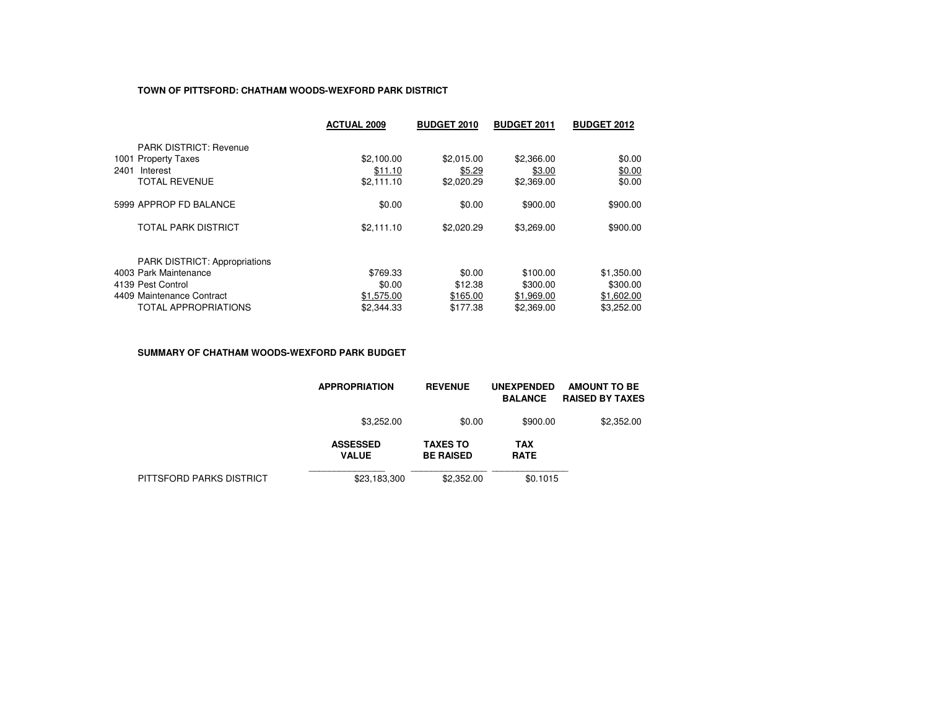## **TOWN OF PITTSFORD: CHATHAM WOODS-WEXFORD PARK DISTRICT**

|                                      | <b>ACTUAL 2009</b> | <b>BUDGET 2010</b> | <b>BUDGET 2011</b> | <b>BUDGET 2012</b> |
|--------------------------------------|--------------------|--------------------|--------------------|--------------------|
| <b>PARK DISTRICT: Revenue</b>        |                    |                    |                    |                    |
| 1001 Property Taxes                  | \$2,100.00         | \$2,015.00         | \$2,366.00         | \$0.00             |
| 2401<br>Interest                     | \$11.10            | \$5.29             | \$3.00             | \$0.00             |
| <b>TOTAL REVENUE</b>                 | \$2,111.10         | \$2,020.29         | \$2,369.00         | \$0.00             |
| 5999 APPROP FD BALANCE               | \$0.00             | \$0.00             | \$900.00           | \$900.00           |
| <b>TOTAL PARK DISTRICT</b>           | \$2,111.10         | \$2,020.29         | \$3,269.00         | \$900.00           |
| <b>PARK DISTRICT: Appropriations</b> |                    |                    |                    |                    |
| 4003 Park Maintenance                | \$769.33           | \$0.00             | \$100.00           | \$1,350.00         |
| 4139 Pest Control                    | \$0.00             | \$12.38            | \$300.00           | \$300.00           |
| 4409 Maintenance Contract            | \$1,575.00         | \$165.00           | \$1,969.00         | \$1,602.00         |
| <b>TOTAL APPROPRIATIONS</b>          | \$2.344.33         | \$177.38           | \$2,369.00         | \$3.252.00         |

#### **SUMMARY OF CHATHAM WOODS-WEXFORD PARK BUDGET**

|                          | <b>APPROPRIATION</b>            | <b>REVENUE</b>                      | <b>UNEXPENDED</b><br><b>BALANCE</b> | <b>AMOUNT TO BE</b><br><b>RAISED BY TAXES</b> |
|--------------------------|---------------------------------|-------------------------------------|-------------------------------------|-----------------------------------------------|
|                          | \$3,252.00                      | \$0.00                              | \$900.00                            | \$2,352.00                                    |
|                          | <b>ASSESSED</b><br><b>VALUE</b> | <b>TAXES TO</b><br><b>BE RAISED</b> | TAX<br><b>RATE</b>                  |                                               |
| PITTSFORD PARKS DISTRICT | \$23,183,300                    | \$2,352.00                          | \$0.1015                            |                                               |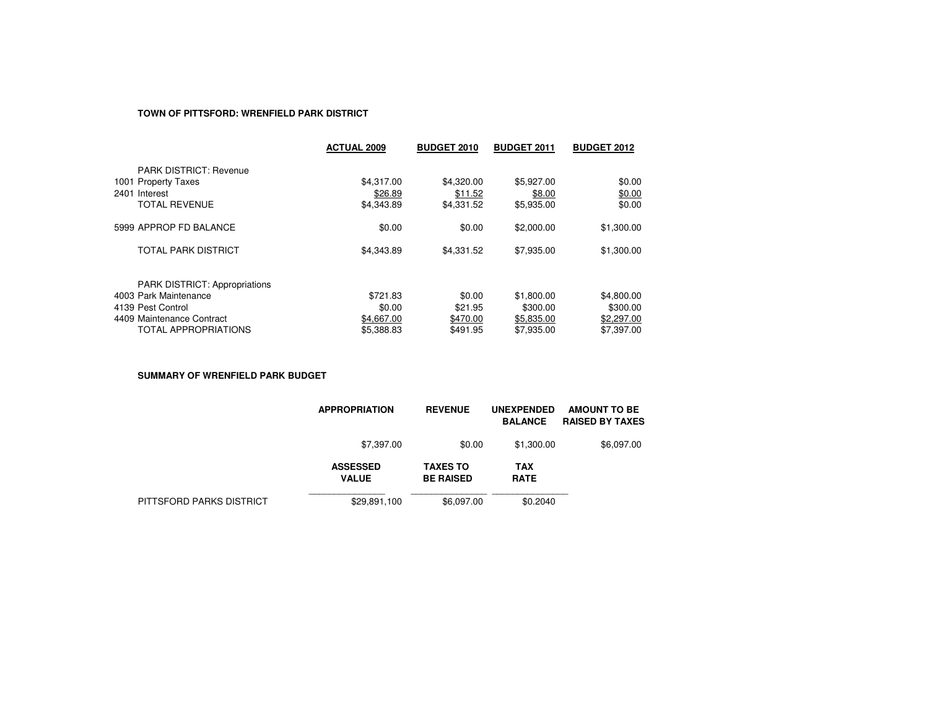## **TOWN OF PITTSFORD: WRENFIELD PARK DISTRICT**

|                                      | <b>ACTUAL 2009</b> | <b>BUDGET 2010</b> | <b>BUDGET 2011</b> | <b>BUDGET 2012</b> |
|--------------------------------------|--------------------|--------------------|--------------------|--------------------|
| <b>PARK DISTRICT: Revenue</b>        |                    |                    |                    |                    |
| 1001 Property Taxes                  | \$4,317.00         | \$4,320,00         | \$5,927.00         | \$0.00             |
| 2401 Interest                        | \$26.89            | \$11.52            | \$8.00             | \$0.00             |
| <b>TOTAL REVENUE</b>                 | \$4,343.89         | \$4,331.52         | \$5,935.00         | \$0.00             |
| 5999 APPROP FD BALANCE               | \$0.00             | \$0.00             | \$2,000.00         | \$1,300.00         |
| <b>TOTAL PARK DISTRICT</b>           | \$4,343.89         | \$4,331.52         | \$7,935.00         | \$1,300.00         |
| <b>PARK DISTRICT: Appropriations</b> |                    |                    |                    |                    |
| 4003 Park Maintenance                | \$721.83           | \$0.00             | \$1,800.00         | \$4,800.00         |
| 4139 Pest Control                    | \$0.00             | \$21.95            | \$300.00           | \$300.00           |
| 4409 Maintenance Contract            | \$4,667.00         | \$470.00           | \$5,835.00         | \$2,297.00         |
| <b>TOTAL APPROPRIATIONS</b>          | \$5,388.83         | \$491.95           | \$7,935.00         | \$7,397.00         |

**SUMMARY OF WRENFIELD PARK BUDGET**

|                          | <b>APPROPRIATION</b>            | <b>REVENUE</b>                      | <b>UNEXPENDED</b><br><b>BALANCE</b> | <b>AMOUNT TO BE</b><br><b>RAISED BY TAXES</b> |
|--------------------------|---------------------------------|-------------------------------------|-------------------------------------|-----------------------------------------------|
|                          | \$7,397.00                      | \$0.00                              | \$1,300.00                          | \$6,097.00                                    |
|                          | <b>ASSESSED</b><br><b>VALUE</b> | <b>TAXES TO</b><br><b>BE RAISED</b> | <b>TAX</b><br><b>RATE</b>           |                                               |
| PITTSFORD PARKS DISTRICT | \$29,891,100                    | \$6,097.00                          | \$0.2040                            |                                               |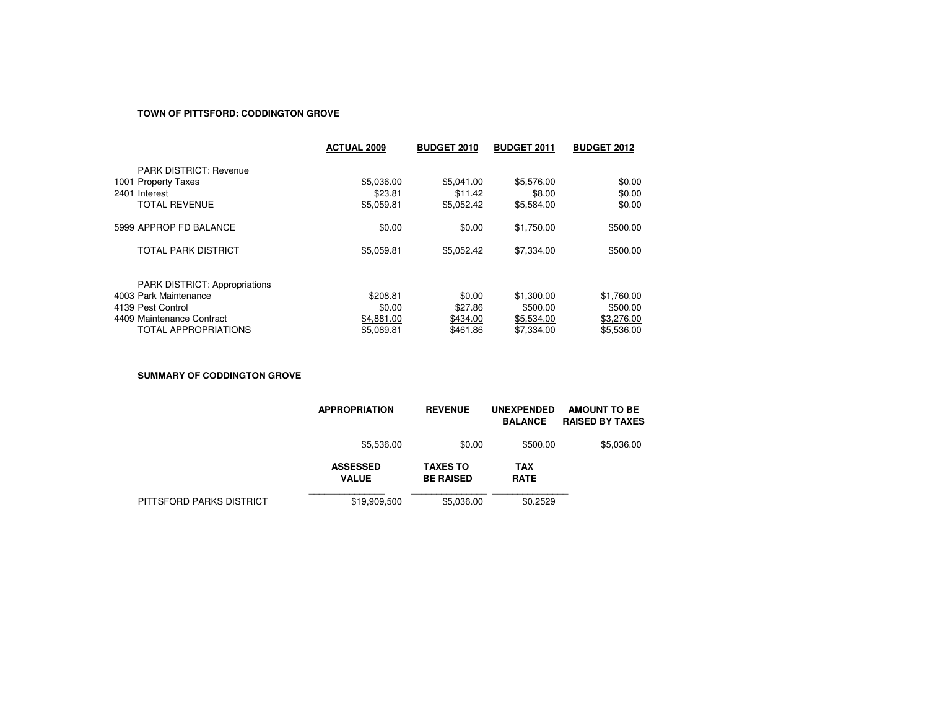#### **TOWN OF PITTSFORD: CODDINGTON GROVE**

|                                      | <b>ACTUAL 2009</b> | <b>BUDGET 2010</b> | <b>BUDGET 2011</b> | <b>BUDGET 2012</b> |
|--------------------------------------|--------------------|--------------------|--------------------|--------------------|
| <b>PARK DISTRICT: Revenue</b>        |                    |                    |                    |                    |
| 1001 Property Taxes                  | \$5,036.00         | \$5.041.00         | \$5,576.00         | \$0.00             |
| 2401 Interest                        | \$23.81            | \$11.42            | \$8.00             | \$0.00             |
| <b>TOTAL REVENUE</b>                 | \$5,059.81         | \$5.052.42         | \$5,584.00         | \$0.00             |
| 5999 APPROP FD BALANCE               | \$0.00             | \$0.00             | \$1,750.00         | \$500.00           |
| TOTAL PARK DISTRICT                  | \$5,059.81         | \$5.052.42         | \$7,334.00         | \$500.00           |
| <b>PARK DISTRICT: Appropriations</b> |                    |                    |                    |                    |
| 4003 Park Maintenance                | \$208.81           | \$0.00             | \$1,300.00         | \$1,760.00         |
| 4139 Pest Control                    | \$0.00             | \$27.86            | \$500.00           | \$500.00           |
| 4409 Maintenance Contract            | \$4,881.00         | \$434.00           | \$5,534.00         | \$3,276.00         |
| <b>TOTAL APPROPRIATIONS</b>          | \$5.089.81         | \$461.86           | \$7,334.00         | \$5.536.00         |

**SUMMARY OF CODDINGTON GROVE**

|                          | <b>APPROPRIATION</b>            | <b>REVENUE</b>                      | <b>UNEXPENDED</b><br><b>BALANCE</b> | <b>AMOUNT TO BE</b><br><b>RAISED BY TAXES</b> |
|--------------------------|---------------------------------|-------------------------------------|-------------------------------------|-----------------------------------------------|
|                          | \$5,536.00                      | \$0.00                              | \$500.00                            | \$5,036.00                                    |
|                          | <b>ASSESSED</b><br><b>VALUE</b> | <b>TAXES TO</b><br><b>BE RAISED</b> | <b>TAX</b><br><b>RATE</b>           |                                               |
| PITTSFORD PARKS DISTRICT | \$19,909,500                    | \$5.036.00                          | \$0.2529                            |                                               |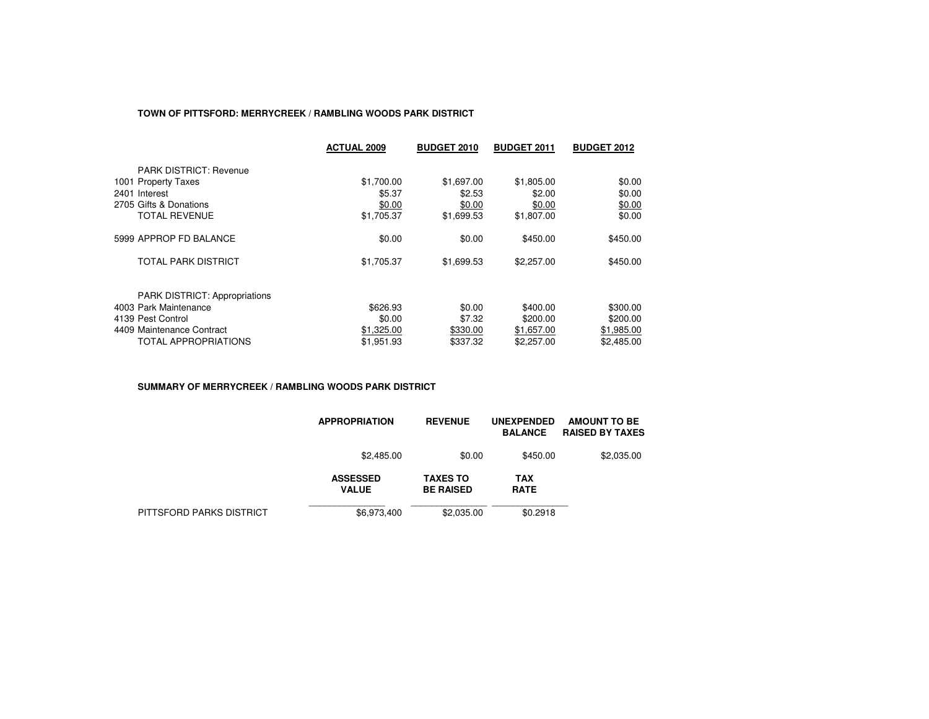## **TOWN OF PITTSFORD: MERRYCREEK / RAMBLING WOODS PARK DISTRICT**

|                                      | <b>ACTUAL 2009</b> | <b>BUDGET 2010</b> | <b>BUDGET 2011</b> | <b>BUDGET 2012</b> |
|--------------------------------------|--------------------|--------------------|--------------------|--------------------|
| <b>PARK DISTRICT: Revenue</b>        |                    |                    |                    |                    |
| 1001 Property Taxes                  | \$1,700.00         | \$1,697.00         | \$1,805.00         | \$0.00             |
| 2401 Interest                        | \$5.37             | \$2.53             | \$2.00             | \$0.00             |
| 2705 Gifts & Donations               | \$0.00             | \$0.00             | \$0.00             | \$0.00             |
| <b>TOTAL REVENUE</b>                 | \$1,705.37         | \$1,699.53         | \$1,807.00         | \$0.00             |
| 5999 APPROP FD BALANCE               | \$0.00             | \$0.00             | \$450.00           | \$450.00           |
| TOTAL PARK DISTRICT                  | \$1,705.37         | \$1,699.53         | \$2,257.00         | \$450.00           |
| <b>PARK DISTRICT: Appropriations</b> |                    |                    |                    |                    |
| 4003 Park Maintenance                | \$626.93           | \$0.00             | \$400.00           | \$300.00           |
| 4139 Pest Control                    | \$0.00             | \$7.32             | \$200.00           | \$200.00           |
| 4409 Maintenance Contract            | \$1,325.00         | \$330.00           | \$1,657.00         | \$1,985.00         |
| TOTAL APPROPRIATIONS                 | \$1.951.93         | \$337.32           | \$2,257.00         | \$2,485.00         |

#### **SUMMARY OF MERRYCREEK / RAMBLING WOODS PARK DISTRICT**

|                          | <b>APPROPRIATION</b>            | <b>REVENUE</b>                      | <b>UNEXPENDED</b><br><b>BALANCE</b> | <b>AMOUNT TO BE</b><br><b>RAISED BY TAXES</b> |
|--------------------------|---------------------------------|-------------------------------------|-------------------------------------|-----------------------------------------------|
|                          | \$2,485.00                      | \$0.00                              | \$450.00                            | \$2,035.00                                    |
|                          | <b>ASSESSED</b><br><b>VALUE</b> | <b>TAXES TO</b><br><b>BE RAISED</b> | TAX<br><b>RATE</b>                  |                                               |
| PITTSFORD PARKS DISTRICT | \$6,973,400                     | \$2,035.00                          | \$0.2918                            |                                               |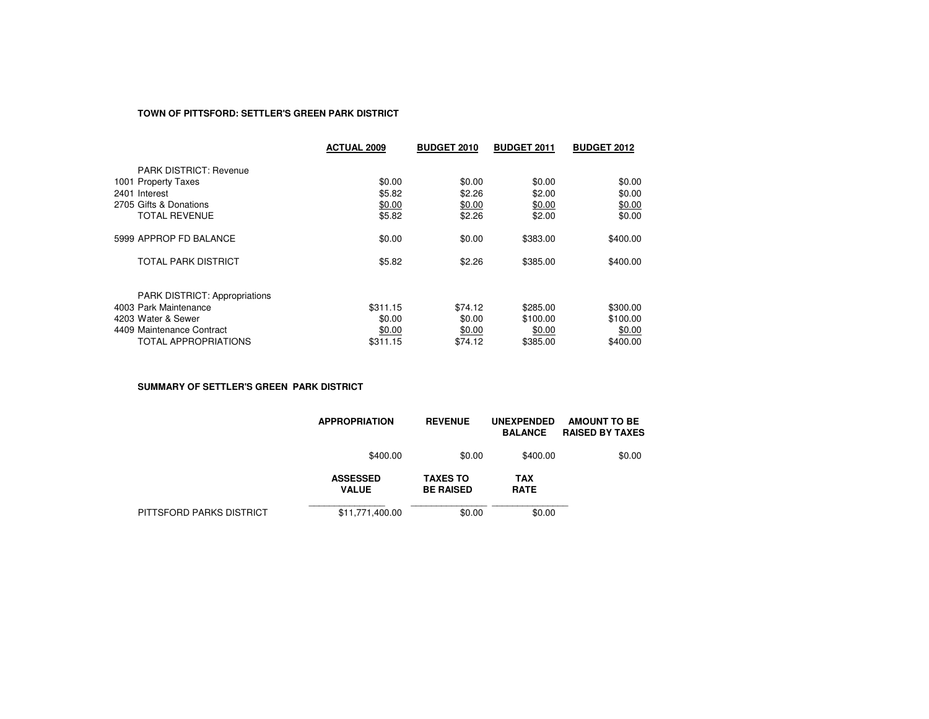## **TOWN OF PITTSFORD: SETTLER'S GREEN PARK DISTRICT**

|                                      | <b>ACTUAL 2009</b> | <b>BUDGET 2010</b> | <b>BUDGET 2011</b> | <b>BUDGET 2012</b> |
|--------------------------------------|--------------------|--------------------|--------------------|--------------------|
| <b>PARK DISTRICT: Revenue</b>        |                    |                    |                    |                    |
| 1001 Property Taxes                  | \$0.00             | \$0.00             | \$0.00             | \$0.00             |
| 2401 Interest                        | \$5.82             | \$2.26             | \$2.00             | \$0.00             |
| 2705 Gifts & Donations               | \$0.00             | \$0.00             | \$0.00             | \$0.00             |
| <b>TOTAL REVENUE</b>                 | \$5.82             | \$2.26             | \$2.00             | \$0.00             |
| 5999 APPROP FD BALANCE               | \$0.00             | \$0.00             | \$383.00           | \$400.00           |
| TOTAL PARK DISTRICT                  | \$5.82             | \$2.26             | \$385.00           | \$400.00           |
| <b>PARK DISTRICT: Appropriations</b> |                    |                    |                    |                    |
| 4003 Park Maintenance                | \$311.15           | \$74.12            | \$285.00           | \$300.00           |
| 4203 Water & Sewer                   | \$0.00             | \$0.00             | \$100.00           | \$100.00           |
| 4409 Maintenance Contract            | \$0.00             | \$0.00             | \$0.00             | \$0.00             |
| TOTAL APPROPRIATIONS                 | \$311.15           | \$74.12            | \$385.00           | \$400.00           |

**SUMMARY OF SETTLER'S GREEN PARK DISTRICT**

|                          | <b>APPROPRIATION</b>            | <b>REVENUE</b>                      | <b>UNEXPENDED</b><br><b>BALANCE</b> | AMOUNT TO BE<br><b>RAISED BY TAXES</b> |
|--------------------------|---------------------------------|-------------------------------------|-------------------------------------|----------------------------------------|
|                          | \$400.00                        | \$0.00                              | \$400.00                            | \$0.00                                 |
|                          | <b>ASSESSED</b><br><b>VALUE</b> | <b>TAXES TO</b><br><b>BE RAISED</b> | <b>TAX</b><br><b>RATE</b>           |                                        |
| PITTSFORD PARKS DISTRICT | \$11,771,400.00                 | \$0.00                              | \$0.00                              |                                        |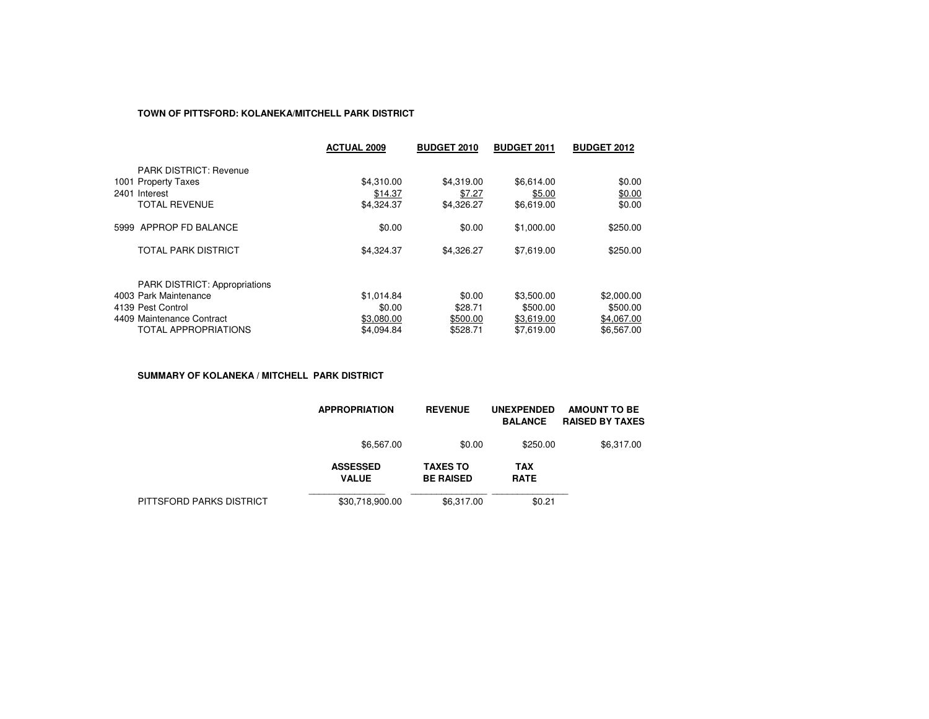## **TOWN OF PITTSFORD: KOLANEKA/MITCHELL PARK DISTRICT**

|                                      | <b>ACTUAL 2009</b> | <b>BUDGET 2010</b> | <b>BUDGET 2011</b> | <b>BUDGET 2012</b> |
|--------------------------------------|--------------------|--------------------|--------------------|--------------------|
| <b>PARK DISTRICT: Revenue</b>        |                    |                    |                    |                    |
| 1001 Property Taxes                  | \$4,310.00         | \$4.319.00         | \$6,614.00         | \$0.00             |
| 2401 Interest                        | \$14.37            | \$7.27             | \$5.00             | \$0.00             |
| <b>TOTAL REVENUE</b>                 | \$4,324.37         | \$4,326.27         | \$6,619.00         | \$0.00             |
| 5999 APPROP FD BALANCE               | \$0.00             | \$0.00             | \$1,000.00         | \$250.00           |
| <b>TOTAL PARK DISTRICT</b>           | \$4,324.37         | \$4,326.27         | \$7,619.00         | \$250.00           |
| <b>PARK DISTRICT: Appropriations</b> |                    |                    |                    |                    |
| 4003 Park Maintenance                | \$1,014.84         | \$0.00             | \$3,500.00         | \$2,000.00         |
| 4139 Pest Control                    | \$0.00             | \$28.71            | \$500.00           | \$500.00           |
| 4409 Maintenance Contract            | \$3,080.00         | \$500.00           | \$3,619.00         | \$4,067.00         |
| <b>TOTAL APPROPRIATIONS</b>          | \$4.094.84         | \$528.71           | \$7.619.00         | \$6.567.00         |

**SUMMARY OF KOLANEKA / MITCHELL PARK DISTRICT**

|                          | <b>APPROPRIATION</b>            | <b>REVENUE</b>                      | <b>UNEXPENDED</b><br><b>BALANCE</b> | <b>AMOUNT TO BE</b><br><b>RAISED BY TAXES</b> |
|--------------------------|---------------------------------|-------------------------------------|-------------------------------------|-----------------------------------------------|
|                          | \$6,567.00                      | \$0.00                              | \$250.00                            | \$6,317.00                                    |
|                          | <b>ASSESSED</b><br><b>VALUE</b> | <b>TAXES TO</b><br><b>BE RAISED</b> | <b>TAX</b><br><b>RATE</b>           |                                               |
| PITTSFORD PARKS DISTRICT | \$30,718,900.00                 | \$6.317.00                          | \$0.21                              |                                               |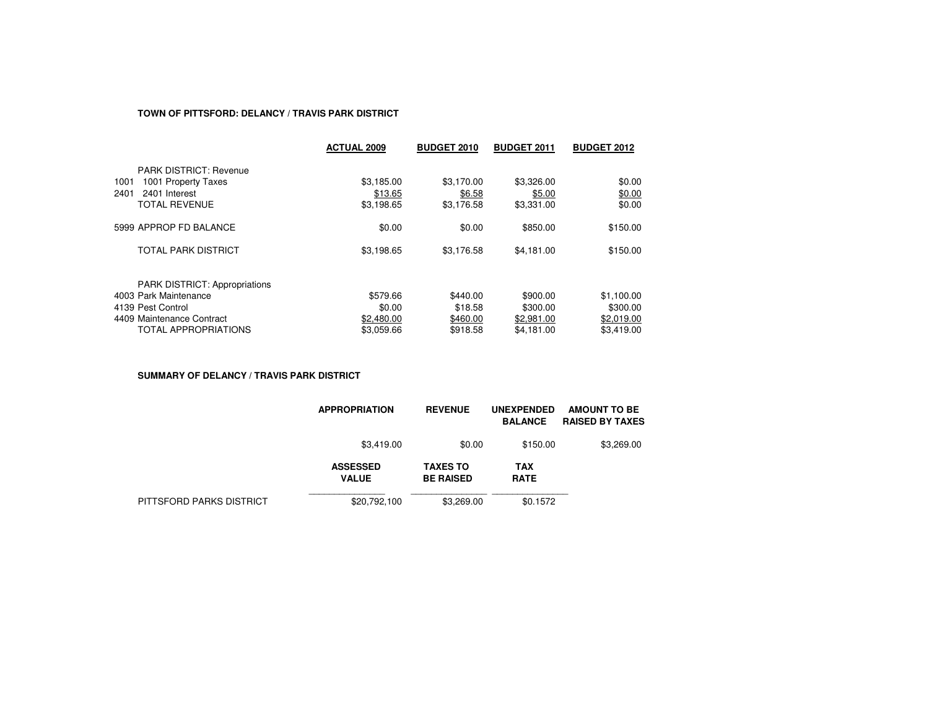## **TOWN OF PITTSFORD: DELANCY / TRAVIS PARK DISTRICT**

|                                      | <b>ACTUAL 2009</b> | <b>BUDGET 2010</b> | <b>BUDGET 2011</b> | <b>BUDGET 2012</b> |
|--------------------------------------|--------------------|--------------------|--------------------|--------------------|
| <b>PARK DISTRICT: Revenue</b>        |                    |                    |                    |                    |
| 1001<br>1001 Property Taxes          | \$3,185.00         | \$3.170.00         | \$3,326.00         | \$0.00             |
| 2401<br>2401 Interest                | \$13.65            | \$6.58             | \$5.00             | \$0.00             |
| <b>TOTAL REVENUE</b>                 | \$3,198.65         | \$3,176.58         | \$3,331.00         | \$0.00             |
| 5999 APPROP FD BALANCE               | \$0.00             | \$0.00             | \$850.00           | \$150.00           |
| TOTAL PARK DISTRICT                  | \$3,198.65         | \$3,176.58         | \$4,181.00         | \$150.00           |
| <b>PARK DISTRICT: Appropriations</b> |                    |                    |                    |                    |
| 4003 Park Maintenance                | \$579.66           | \$440.00           | \$900.00           | \$1,100.00         |
| 4139 Pest Control                    | \$0.00             | \$18.58            | \$300.00           | \$300.00           |
| 4409 Maintenance Contract            | \$2,480.00         | \$460.00           | \$2,981.00         | \$2,019.00         |
| <b>TOTAL APPROPRIATIONS</b>          | \$3.059.66         | \$918.58           | \$4.181.00         | \$3.419.00         |

**SUMMARY OF DELANCY / TRAVIS PARK DISTRICT**

|                          | <b>APPROPRIATION</b>            | <b>REVENUE</b>                      | <b>UNEXPENDED</b><br><b>BALANCE</b> | <b>AMOUNT TO BE</b><br><b>RAISED BY TAXES</b> |
|--------------------------|---------------------------------|-------------------------------------|-------------------------------------|-----------------------------------------------|
|                          | \$3,419.00                      | \$0.00                              | \$150.00                            | \$3,269.00                                    |
|                          | <b>ASSESSED</b><br><b>VALUE</b> | <b>TAXES TO</b><br><b>BE RAISED</b> | <b>TAX</b><br><b>RATE</b>           |                                               |
| PITTSFORD PARKS DISTRICT | \$20,792,100                    | \$3,269.00                          | \$0.1572                            |                                               |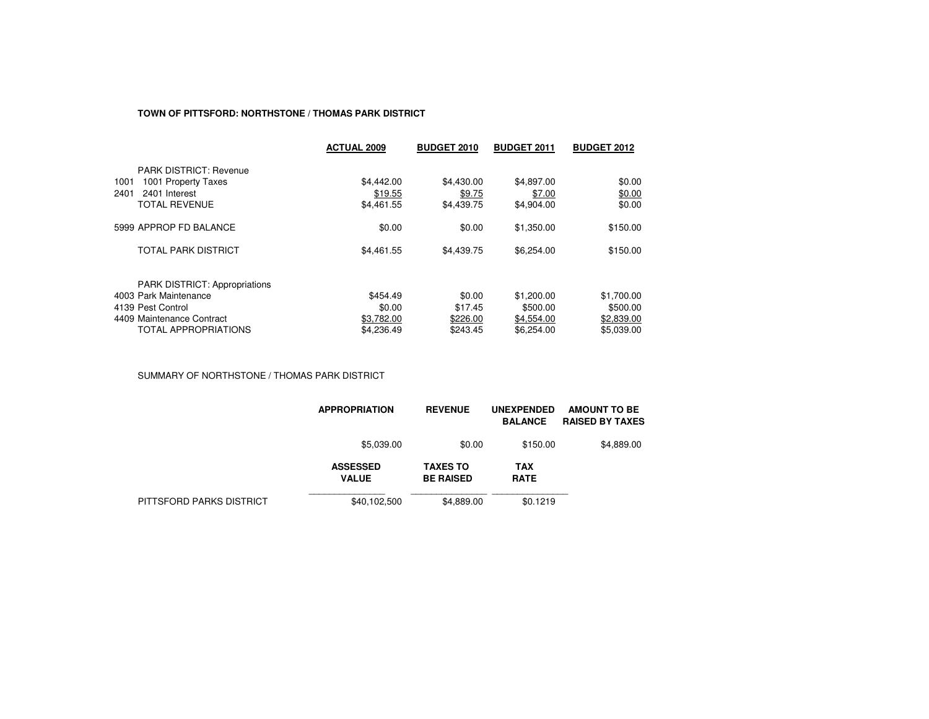#### **TOWN OF PITTSFORD: NORTHSTONE / THOMAS PARK DISTRICT**

|                                      | <b>ACTUAL 2009</b> | <b>BUDGET 2010</b> | <b>BUDGET 2011</b> | <b>BUDGET 2012</b> |
|--------------------------------------|--------------------|--------------------|--------------------|--------------------|
| <b>PARK DISTRICT: Revenue</b>        |                    |                    |                    |                    |
| 1001 Property Taxes<br>1001          | \$4,442.00         | \$4,430.00         | \$4.897.00         | \$0.00             |
| 2401<br>2401 Interest                | \$19.55            | \$9.75             | \$7.00             | \$0.00             |
| <b>TOTAL REVENUE</b>                 | \$4,461.55         | \$4,439.75         | \$4,904.00         | \$0.00             |
| 5999 APPROP FD BALANCE               | \$0.00             | \$0.00             | \$1,350.00         | \$150.00           |
| TOTAL PARK DISTRICT                  | \$4,461.55         | \$4,439.75         | \$6,254.00         | \$150.00           |
| <b>PARK DISTRICT: Appropriations</b> |                    |                    |                    |                    |
| 4003 Park Maintenance                | \$454.49           | \$0.00             | \$1,200.00         | \$1,700.00         |
| 4139 Pest Control                    | \$0.00             | \$17.45            | \$500.00           | \$500.00           |
| 4409 Maintenance Contract            | \$3.782.00         | \$226.00           | \$4.554.00         | \$2,839.00         |
| <b>TOTAL APPROPRIATIONS</b>          | \$4.236.49         | \$243.45           | \$6,254.00         | \$5.039.00         |

SUMMARY OF NORTHSTONE / THOMAS PARK DISTRICT

|                          | <b>APPROPRIATION</b>            | <b>REVENUE</b>                      | <b>UNEXPENDED</b><br><b>BALANCE</b> | <b>AMOUNT TO BE</b><br><b>RAISED BY TAXES</b> |
|--------------------------|---------------------------------|-------------------------------------|-------------------------------------|-----------------------------------------------|
|                          | \$5,039.00                      | \$0.00                              | \$150.00                            | \$4,889.00                                    |
|                          | <b>ASSESSED</b><br><b>VALUE</b> | <b>TAXES TO</b><br><b>BE RAISED</b> | <b>TAX</b><br><b>RATE</b>           |                                               |
| PITTSFORD PARKS DISTRICT | \$40,102,500                    | \$4,889.00                          | \$0.1219                            |                                               |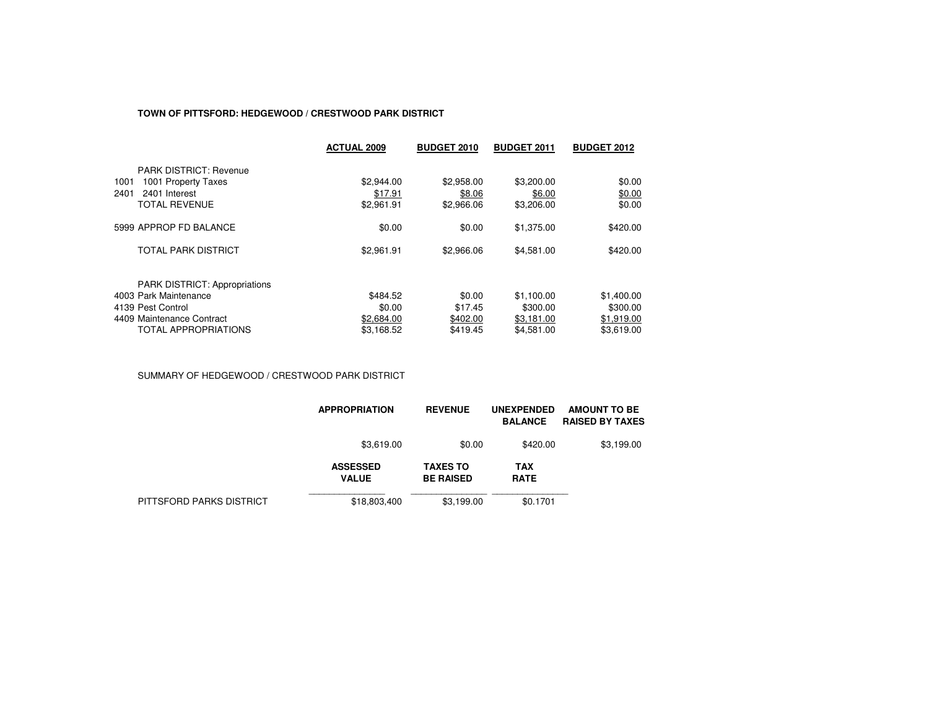### **TOWN OF PITTSFORD: HEDGEWOOD / CRESTWOOD PARK DISTRICT**

|                                      | <b>ACTUAL 2009</b> | <b>BUDGET 2010</b> | <b>BUDGET 2011</b> | <b>BUDGET 2012</b> |
|--------------------------------------|--------------------|--------------------|--------------------|--------------------|
| <b>PARK DISTRICT: Revenue</b>        |                    |                    |                    |                    |
| 1001 Property Taxes<br>1001          | \$2,944.00         | \$2,958.00         | \$3,200.00         | \$0.00             |
| 2401<br>2401 Interest                | \$17.91            | \$8.06             | \$6.00             | \$0.00             |
| <b>TOTAL REVENUE</b>                 | \$2,961.91         | \$2,966.06         | \$3,206.00         | \$0.00             |
| 5999 APPROP FD BALANCE               | \$0.00             | \$0.00             | \$1,375.00         | \$420.00           |
| <b>TOTAL PARK DISTRICT</b>           | \$2,961.91         | \$2,966.06         | \$4,581.00         | \$420.00           |
| <b>PARK DISTRICT: Appropriations</b> |                    |                    |                    |                    |
| 4003 Park Maintenance                | \$484.52           | \$0.00             | \$1,100.00         | \$1,400.00         |
| 4139 Pest Control                    | \$0.00             | \$17.45            | \$300.00           | \$300.00           |
| 4409 Maintenance Contract            | \$2,684.00         | \$402.00           | \$3,181.00         | \$1,919.00         |
| <b>TOTAL APPROPRIATIONS</b>          | \$3.168.52         | \$419.45           | \$4.581.00         | \$3.619.00         |

SUMMARY OF HEDGEWOOD / CRESTWOOD PARK DISTRICT

|                          | <b>APPROPRIATION</b>            | <b>REVENUE</b>                      | <b>UNEXPENDED</b><br><b>BALANCE</b> | AMOUNT TO BE<br><b>RAISED BY TAXES</b> |
|--------------------------|---------------------------------|-------------------------------------|-------------------------------------|----------------------------------------|
|                          | \$3,619.00                      | \$0.00                              | \$420.00                            | \$3,199.00                             |
|                          | <b>ASSESSED</b><br><b>VALUE</b> | <b>TAXES TO</b><br><b>BE RAISED</b> | <b>TAX</b><br><b>RATE</b>           |                                        |
| PITTSFORD PARKS DISTRICT | \$18,803,400                    | \$3.199.00                          | \$0.1701                            |                                        |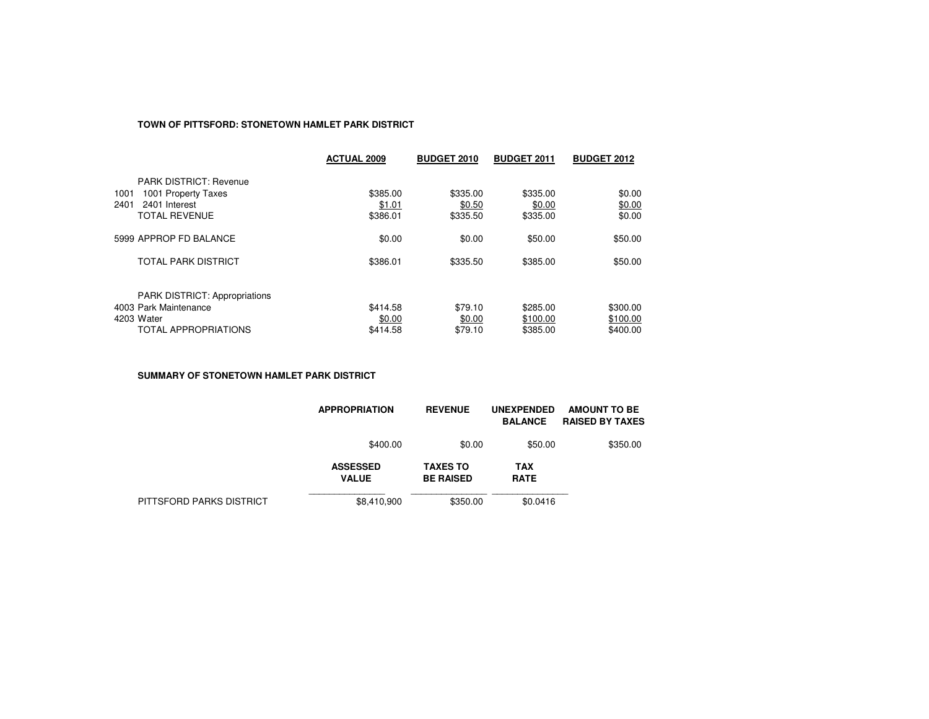## **TOWN OF PITTSFORD: STONETOWN HAMLET PARK DISTRICT**

|                                                               | <b>ACTUAL 2009</b> | <b>BUDGET 2010</b> | <b>BUDGET 2011</b> | <b>BUDGET 2012</b> |
|---------------------------------------------------------------|--------------------|--------------------|--------------------|--------------------|
| <b>PARK DISTRICT: Revenue</b>                                 |                    |                    |                    |                    |
| 1001 Property Taxes<br>1001                                   | \$385.00           | \$335.00           | \$335.00           | \$0.00             |
| 2401<br>2401 Interest                                         | \$1.01             | \$0.50             | \$0.00             | \$0.00             |
| <b>TOTAL REVENUE</b>                                          | \$386.01           | \$335.50           | \$335.00           | \$0.00             |
| 5999 APPROP FD BALANCE                                        | \$0.00             | \$0.00             | \$50.00            | \$50.00            |
| <b>TOTAL PARK DISTRICT</b>                                    | \$386.01           | \$335.50           | \$385.00           | \$50.00            |
|                                                               |                    |                    |                    |                    |
| <b>PARK DISTRICT: Appropriations</b><br>4003 Park Maintenance | \$414.58           | \$79.10            | \$285.00           | \$300.00           |
| 4203 Water                                                    |                    |                    |                    |                    |
|                                                               | \$0.00             | \$0.00             | \$100.00           | \$100.00           |
| <b>TOTAL APPROPRIATIONS</b>                                   | \$414.58           | \$79.10            | \$385.00           | \$400.00           |

**SUMMARY OF STONETOWN HAMLET PARK DISTRICT**

|                          | <b>APPROPRIATION</b>            | <b>REVENUE</b>                      | <b>UNEXPENDED</b><br><b>BALANCE</b> | <b>AMOUNT TO BE</b><br><b>RAISED BY TAXES</b> |
|--------------------------|---------------------------------|-------------------------------------|-------------------------------------|-----------------------------------------------|
|                          | \$400.00                        | \$0.00                              | \$50.00                             | \$350.00                                      |
|                          | <b>ASSESSED</b><br><b>VALUE</b> | <b>TAXES TO</b><br><b>BE RAISED</b> | <b>TAX</b><br><b>RATE</b>           |                                               |
| PITTSFORD PARKS DISTRICT | \$8,410,900                     | \$350.00                            | \$0.0416                            |                                               |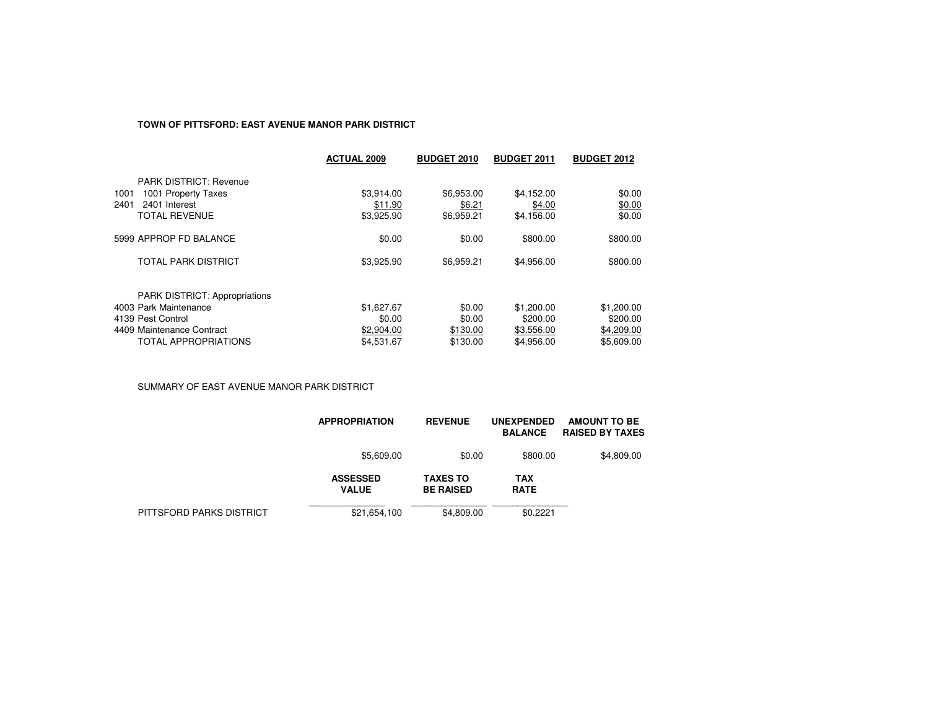## **TOWN OF PITTSFORD: EAST AVENUE MANOR PARK DISTRICT**

|                                      | <b>ACTUAL 2009</b> | <b>BUDGET 2010</b> | <b>BUDGET 2011</b> | <b>BUDGET 2012</b> |
|--------------------------------------|--------------------|--------------------|--------------------|--------------------|
| <b>PARK DISTRICT: Revenue</b>        |                    |                    |                    |                    |
| 1001<br>1001 Property Taxes          | \$3,914.00         | \$6,953.00         | \$4,152.00         | \$0.00             |
| 2401 Interest<br>2401                | \$11.90            | \$6.21             | \$4.00             | \$0.00             |
| <b>TOTAL REVENUE</b>                 | \$3,925.90         | \$6,959.21         | \$4,156.00         | \$0.00             |
| 5999 APPROP FD BALANCE               | \$0.00             | \$0.00             | \$800.00           | \$800.00           |
| <b>TOTAL PARK DISTRICT</b>           | \$3,925.90         | \$6,959.21         | \$4,956.00         | \$800.00           |
|                                      |                    |                    |                    |                    |
| <b>PARK DISTRICT: Appropriations</b> |                    |                    |                    |                    |
| 4003 Park Maintenance                | \$1,627.67         | \$0.00             | \$1,200.00         | \$1,200.00         |
| 4139 Pest Control                    | \$0.00             | \$0.00             | \$200.00           | \$200.00           |
| 4409 Maintenance Contract            | \$2,904.00         | \$130.00           | \$3,556.00         | \$4,209.00         |
| <b>TOTAL APPROPRIATIONS</b>          | \$4.531.67         | \$130.00           | \$4.956.00         | \$5,609.00         |
|                                      |                    |                    |                    |                    |

SUMMARY OF EAST AVENUE MANOR PARK DISTRICT

|                          | <b>APPROPRIATION</b>            | <b>REVENUE</b>                      | <b>UNEXPENDED</b><br><b>BALANCE</b> | <b>AMOUNT TO BE</b><br><b>RAISED BY TAXES</b> |
|--------------------------|---------------------------------|-------------------------------------|-------------------------------------|-----------------------------------------------|
|                          | \$5,609.00                      | \$0.00                              | \$800.00                            | \$4,809.00                                    |
|                          | <b>ASSESSED</b><br><b>VALUE</b> | <b>TAXES TO</b><br><b>BE RAISED</b> | TAX<br><b>RATE</b>                  |                                               |
| PITTSFORD PARKS DISTRICT | \$21,654,100                    | \$4,809.00                          | \$0.2221                            |                                               |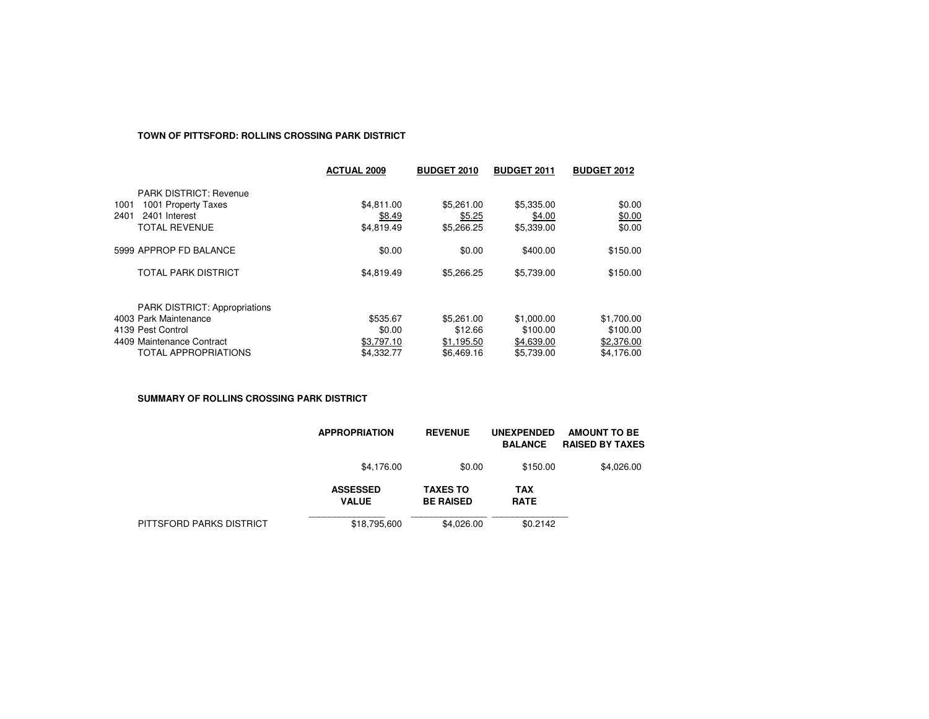#### **TOWN OF PITTSFORD: ROLLINS CROSSING PARK DISTRICT**

|                               | <b>ACTUAL 2009</b> | <b>BUDGET 2010</b> | <b>BUDGET 2011</b> | <b>BUDGET 2012</b> |
|-------------------------------|--------------------|--------------------|--------------------|--------------------|
| <b>PARK DISTRICT: Revenue</b> |                    |                    |                    |                    |
| 1001 Property Taxes<br>1001   | \$4,811.00         | \$5,261.00         | \$5,335.00         | \$0.00             |
| 2401<br>2401 Interest         | \$8.49             | \$5.25             | \$4.00             | \$0.00             |
| <b>TOTAL REVENUE</b>          | \$4,819.49         | \$5,266.25         | \$5,339.00         | \$0.00             |
| 5999 APPROP FD BALANCE        | \$0.00             | \$0.00             | \$400.00           | \$150.00           |
| <b>TOTAL PARK DISTRICT</b>    | \$4,819.49         | \$5,266.25         | \$5,739.00         | \$150.00           |
| PARK DISTRICT: Appropriations |                    |                    |                    |                    |
| 4003 Park Maintenance         | \$535.67           | \$5,261.00         | \$1,000.00         | \$1,700.00         |
| 4139 Pest Control             | \$0.00             | \$12.66            | \$100.00           | \$100.00           |
| 4409 Maintenance Contract     | \$3,797.10         | \$1,195.50         | \$4,639.00         | \$2,376.00         |
| <b>TOTAL APPROPRIATIONS</b>   | \$4,332.77         | \$6,469.16         | \$5.739.00         | \$4.176.00         |

**SUMMARY OF ROLLINS CROSSING PARK DISTRICT**

|                          | <b>APPROPRIATION</b>            | <b>REVENUE</b>                      | <b>UNEXPENDED</b><br><b>BALANCE</b> | AMOUNT TO BE<br><b>RAISED BY TAXES</b> |
|--------------------------|---------------------------------|-------------------------------------|-------------------------------------|----------------------------------------|
|                          | \$4,176.00                      | \$0.00                              | \$150.00                            | \$4,026.00                             |
|                          | <b>ASSESSED</b><br><b>VALUE</b> | <b>TAXES TO</b><br><b>BE RAISED</b> | TAX<br><b>RATE</b>                  |                                        |
| PITTSFORD PARKS DISTRICT | \$18,795,600                    | \$4,026.00                          | \$0.2142                            |                                        |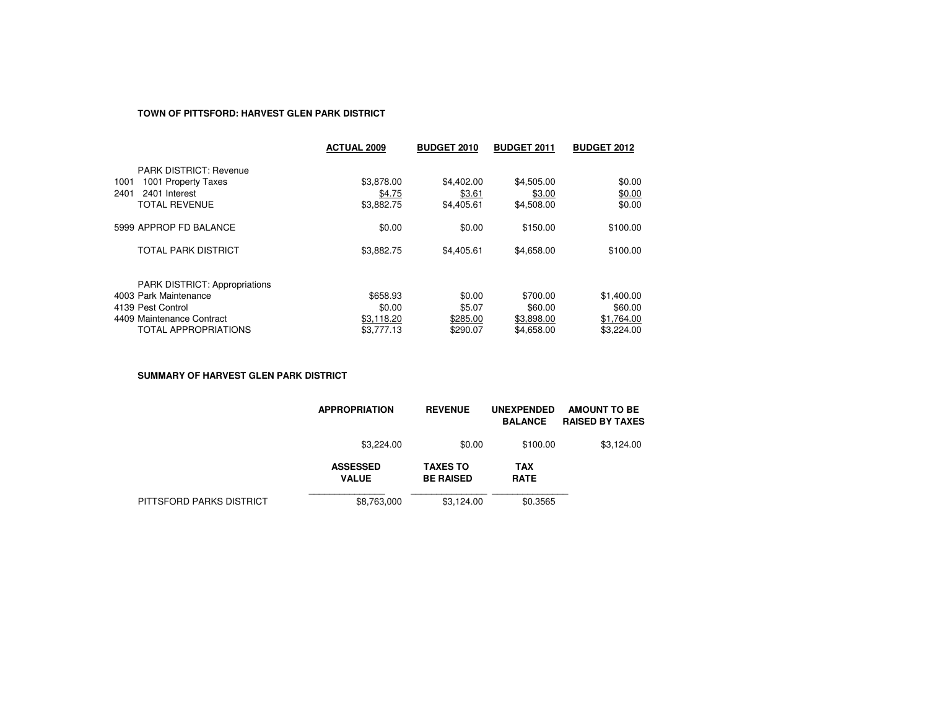## **TOWN OF PITTSFORD: HARVEST GLEN PARK DISTRICT**

|                                      | <b>ACTUAL 2009</b> | <b>BUDGET 2010</b> | <b>BUDGET 2011</b> | <b>BUDGET 2012</b> |
|--------------------------------------|--------------------|--------------------|--------------------|--------------------|
| <b>PARK DISTRICT: Revenue</b>        |                    |                    |                    |                    |
| 1001 Property Taxes<br>1001          | \$3,878.00         | \$4,402.00         | \$4,505.00         | \$0.00             |
| 2401<br>2401 Interest                | \$4.75             | \$3.61             | \$3.00             | \$0.00             |
| <b>TOTAL REVENUE</b>                 | \$3,882.75         | \$4,405.61         | \$4,508.00         | \$0.00             |
| 5999 APPROP FD BALANCE               | \$0.00             | \$0.00             | \$150.00           | \$100.00           |
| TOTAL PARK DISTRICT                  | \$3,882.75         | \$4,405.61         | \$4,658.00         | \$100.00           |
| <b>PARK DISTRICT: Appropriations</b> |                    |                    |                    |                    |
| 4003 Park Maintenance                | \$658.93           | \$0.00             | \$700.00           | \$1,400.00         |
| 4139 Pest Control                    | \$0.00             | \$5.07             | \$60.00            | \$60.00            |
| 4409 Maintenance Contract            | \$3,118.20         | \$285.00           | \$3,898,00         | \$1,764.00         |
| <b>TOTAL APPROPRIATIONS</b>          | \$3,777.13         | \$290.07           | \$4,658,00         | \$3,224.00         |

**SUMMARY OF HARVEST GLEN PARK DISTRICT**

|                          | <b>APPROPRIATION</b>            | <b>REVENUE</b>                      | <b>UNEXPENDED</b><br><b>BALANCE</b> | <b>AMOUNT TO BE</b><br><b>RAISED BY TAXES</b> |
|--------------------------|---------------------------------|-------------------------------------|-------------------------------------|-----------------------------------------------|
|                          | \$3,224.00                      | \$0.00                              | \$100.00                            | \$3,124.00                                    |
|                          | <b>ASSESSED</b><br><b>VALUE</b> | <b>TAXES TO</b><br><b>BE RAISED</b> | <b>TAX</b><br><b>RATE</b>           |                                               |
| PITTSFORD PARKS DISTRICT | \$8,763,000                     | \$3.124.00                          | \$0.3565                            |                                               |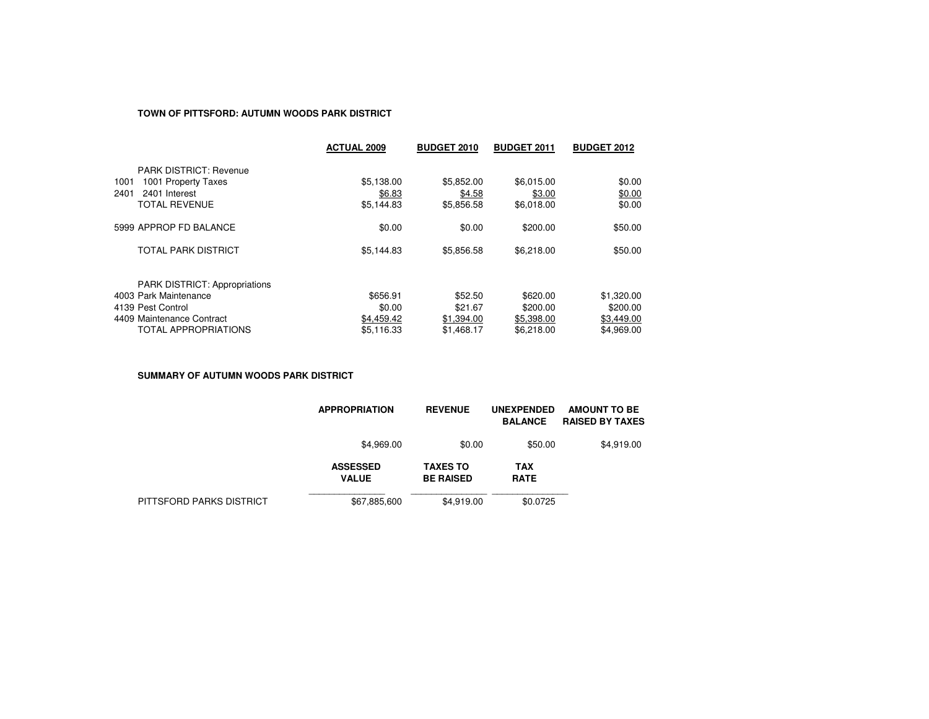### **TOWN OF PITTSFORD: AUTUMN WOODS PARK DISTRICT**

|                                      | <b>ACTUAL 2009</b> | <b>BUDGET 2010</b> | <b>BUDGET 2011</b> | <b>BUDGET 2012</b> |
|--------------------------------------|--------------------|--------------------|--------------------|--------------------|
| <b>PARK DISTRICT: Revenue</b>        |                    |                    |                    |                    |
| 1001 Property Taxes<br>1001          | \$5,138.00         | \$5,852.00         | \$6,015.00         | \$0.00             |
| 2401<br>2401 Interest                | \$6.83             | \$4.58             | \$3.00             | \$0.00             |
| <b>TOTAL REVENUE</b>                 | \$5,144.83         | \$5,856.58         | \$6,018.00         | \$0.00             |
| 5999 APPROP FD BALANCE               | \$0.00             | \$0.00             | \$200.00           | \$50.00            |
| TOTAL PARK DISTRICT                  | \$5,144.83         | \$5,856.58         | \$6,218.00         | \$50.00            |
| <b>PARK DISTRICT: Appropriations</b> |                    |                    |                    |                    |
| 4003 Park Maintenance                | \$656.91           | \$52.50            | \$620.00           | \$1,320.00         |
| 4139 Pest Control                    | \$0.00             | \$21.67            | \$200.00           | \$200.00           |
| 4409 Maintenance Contract            | \$4,459.42         | \$1,394.00         | \$5,398,00         | \$3,449.00         |
| <b>TOTAL APPROPRIATIONS</b>          | \$5.116.33         | \$1,468.17         | \$6,218,00         | \$4.969.00         |

**SUMMARY OF AUTUMN WOODS PARK DISTRICT**

|                          | <b>APPROPRIATION</b>            | <b>REVENUE</b>                      | <b>UNEXPENDED</b><br><b>BALANCE</b> | <b>AMOUNT TO BE</b><br><b>RAISED BY TAXES</b> |
|--------------------------|---------------------------------|-------------------------------------|-------------------------------------|-----------------------------------------------|
|                          | \$4,969.00                      | \$0.00                              | \$50.00                             | \$4,919.00                                    |
|                          | <b>ASSESSED</b><br><b>VALUE</b> | <b>TAXES TO</b><br><b>BE RAISED</b> | <b>TAX</b><br><b>RATE</b>           |                                               |
| PITTSFORD PARKS DISTRICT | \$67,885,600                    | \$4.919.00                          | \$0.0725                            |                                               |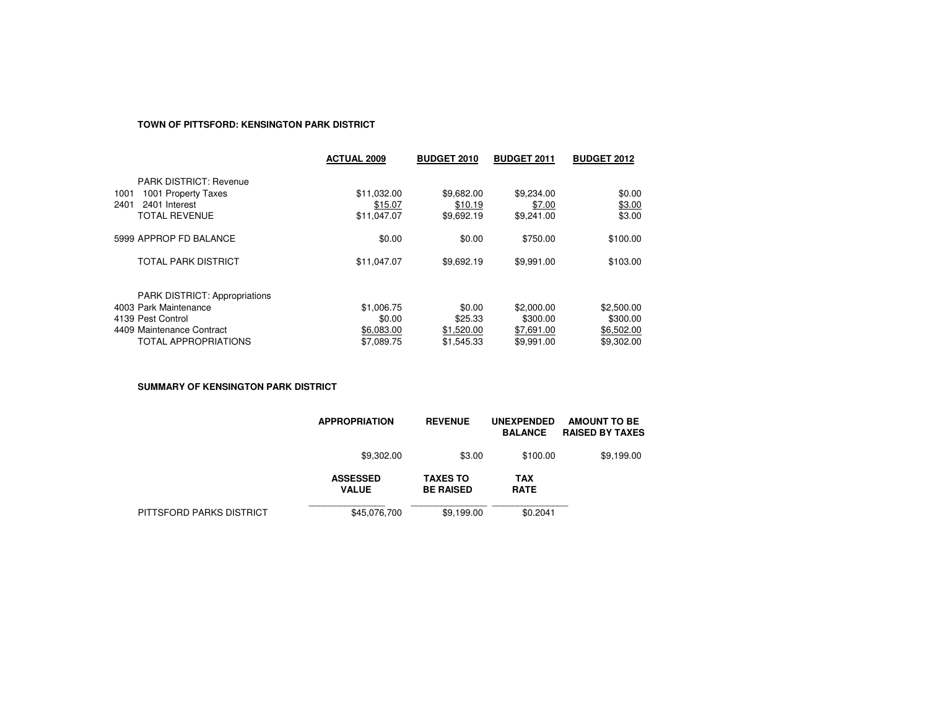# **TOWN OF PITTSFORD: KENSINGTON PARK DISTRICT**

|                                                               | <b>ACTUAL 2009</b> | <b>BUDGET 2010</b> | <b>BUDGET 2011</b> | <b>BUDGET 2012</b> |
|---------------------------------------------------------------|--------------------|--------------------|--------------------|--------------------|
| <b>PARK DISTRICT: Revenue</b>                                 |                    |                    |                    |                    |
| 1001 Property Taxes<br>1001                                   | \$11,032.00        | \$9,682.00         | \$9,234.00         | \$0.00             |
| 2401<br>2401 Interest                                         | \$15.07            | \$10.19            | \$7.00             | \$3.00             |
| <b>TOTAL REVENUE</b>                                          | \$11,047.07        | \$9,692.19         | \$9,241.00         | \$3.00             |
| 5999 APPROP FD BALANCE                                        | \$0.00             | \$0.00             | \$750.00           | \$100.00           |
| <b>TOTAL PARK DISTRICT</b>                                    | \$11,047.07        | \$9,692.19         | \$9,991.00         | \$103.00           |
|                                                               |                    |                    |                    |                    |
| <b>PARK DISTRICT: Appropriations</b><br>4003 Park Maintenance | \$1,006.75         | \$0.00             | \$2,000.00         | \$2,500.00         |
| 4139 Pest Control                                             | \$0.00             | \$25.33            | \$300.00           | \$300.00           |
| 4409 Maintenance Contract                                     | \$6,083.00         | \$1,520.00         | \$7,691.00         | \$6,502.00         |
| TOTAL APPROPRIATIONS                                          | \$7.089.75         | \$1,545.33         | \$9.991.00         | \$9,302.00         |
|                                                               |                    |                    |                    |                    |

**SUMMARY OF KENSINGTON PARK DISTRICT**

|                          | <b>APPROPRIATION</b>            | <b>REVENUE</b>                      | <b>UNEXPENDED</b><br><b>BALANCE</b> | AMOUNT TO BE<br><b>RAISED BY TAXES</b> |
|--------------------------|---------------------------------|-------------------------------------|-------------------------------------|----------------------------------------|
|                          | \$9,302.00                      | \$3.00                              | \$100.00                            | \$9,199.00                             |
|                          | <b>ASSESSED</b><br><b>VALUE</b> | <b>TAXES TO</b><br><b>BE RAISED</b> | <b>TAX</b><br><b>RATE</b>           |                                        |
| PITTSFORD PARKS DISTRICT | \$45,076,700                    | \$9,199.00                          | \$0.2041                            |                                        |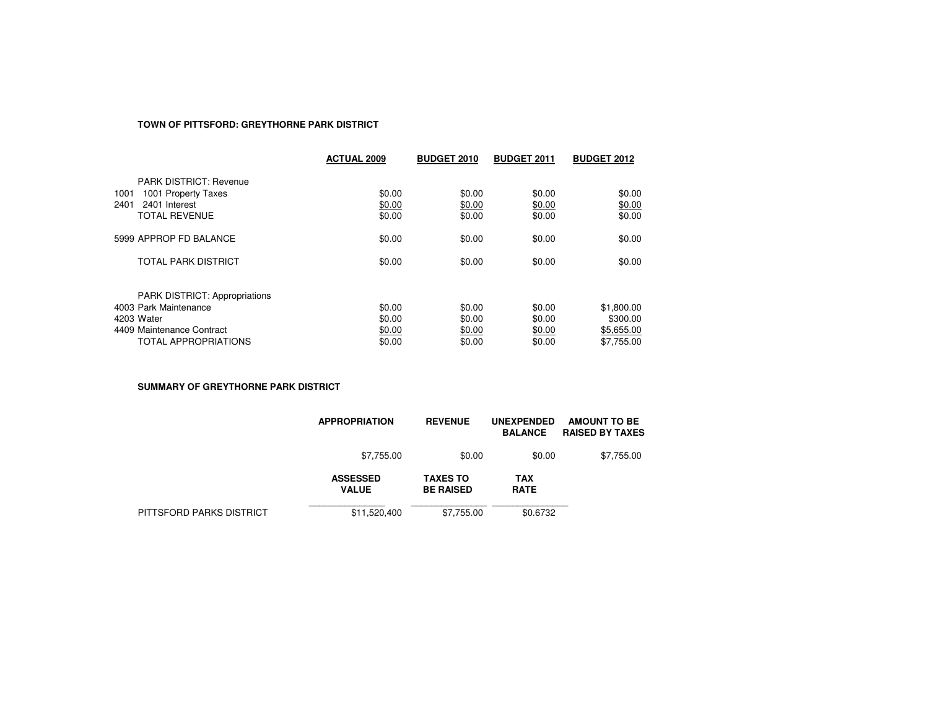# **TOWN OF PITTSFORD: GREYTHORNE PARK DISTRICT**

|                                                                                                                                  | <b>ACTUAL 2009</b>                   | <b>BUDGET 2010</b>                   | <b>BUDGET 2011</b>                   | <b>BUDGET 2012</b>                                 |
|----------------------------------------------------------------------------------------------------------------------------------|--------------------------------------|--------------------------------------|--------------------------------------|----------------------------------------------------|
| <b>PARK DISTRICT: Revenue</b><br>1001 Property Taxes<br>1001<br>2401<br>2401 Interest<br><b>TOTAL REVENUE</b>                    | \$0.00<br>\$0.00<br>\$0.00           | \$0.00<br>\$0.00<br>\$0.00           | \$0.00<br>\$0.00<br>\$0.00           | \$0.00<br>\$0.00<br>\$0.00                         |
| 5999 APPROP FD BALANCE                                                                                                           | \$0.00                               | \$0.00                               | \$0.00                               | \$0.00                                             |
| <b>TOTAL PARK DISTRICT</b>                                                                                                       | \$0.00                               | \$0.00                               | \$0.00                               | \$0.00                                             |
| <b>PARK DISTRICT: Appropriations</b><br>4003 Park Maintenance<br>4203 Water<br>4409 Maintenance Contract<br>TOTAL APPROPRIATIONS | \$0.00<br>\$0.00<br>\$0.00<br>\$0.00 | \$0.00<br>\$0.00<br>\$0.00<br>\$0.00 | \$0.00<br>\$0.00<br>\$0.00<br>\$0.00 | \$1,800.00<br>\$300.00<br>\$5,655.00<br>\$7.755.00 |

**SUMMARY OF GREYTHORNE PARK DISTRICT**

|                          | <b>APPROPRIATION</b>            | <b>REVENUE</b>                      | <b>UNEXPENDED</b><br><b>BALANCE</b> | <b>AMOUNT TO BE</b><br><b>RAISED BY TAXES</b> |
|--------------------------|---------------------------------|-------------------------------------|-------------------------------------|-----------------------------------------------|
|                          | \$7,755.00                      | \$0.00                              | \$0.00                              | \$7,755.00                                    |
|                          | <b>ASSESSED</b><br><b>VALUE</b> | <b>TAXES TO</b><br><b>BE RAISED</b> | TAX<br><b>RATE</b>                  |                                               |
| PITTSFORD PARKS DISTRICT | \$11,520,400                    | \$7.755.00                          | \$0.6732                            |                                               |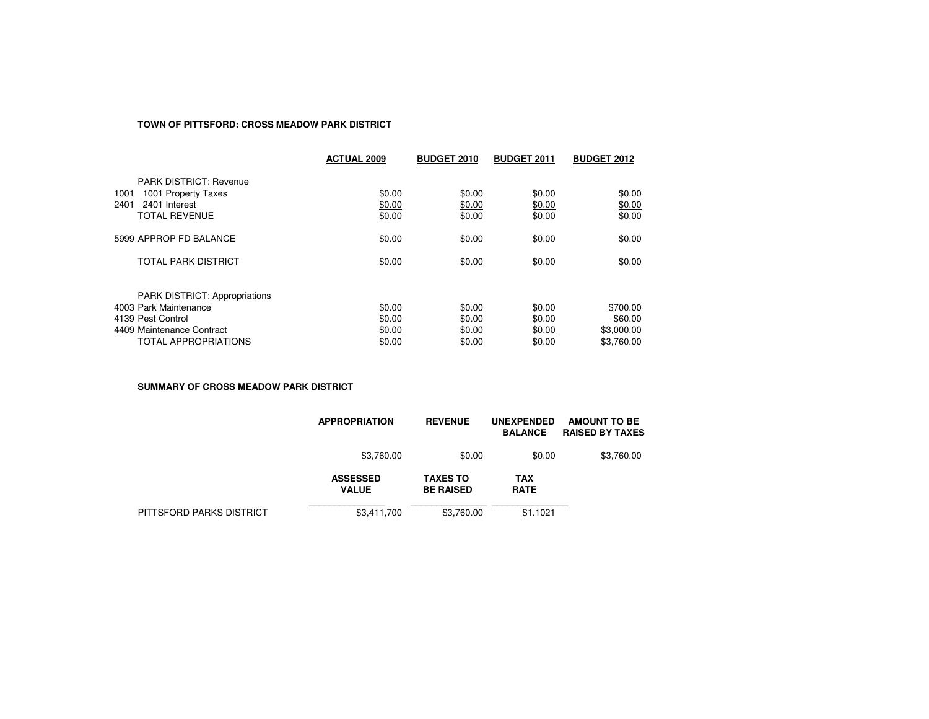# **TOWN OF PITTSFORD: CROSS MEADOW PARK DISTRICT**

|                                                                                                                                         | <b>ACTUAL 2009</b>                   | <b>BUDGET 2010</b>                   | <b>BUDGET 2011</b>                   | <b>BUDGET 2012</b>                              |
|-----------------------------------------------------------------------------------------------------------------------------------------|--------------------------------------|--------------------------------------|--------------------------------------|-------------------------------------------------|
| <b>PARK DISTRICT: Revenue</b><br>1001 Property Taxes<br>1001<br>2401<br>2401 Interest<br>TOTAL REVENUE                                  | \$0.00<br>\$0.00<br>\$0.00           | \$0.00<br>\$0.00<br>\$0.00           | \$0.00<br>\$0.00<br>\$0.00           | \$0.00<br>\$0.00<br>\$0.00                      |
| 5999 APPROP FD BALANCE                                                                                                                  | \$0.00                               | \$0.00                               | \$0.00                               | \$0.00                                          |
| <b>TOTAL PARK DISTRICT</b>                                                                                                              | \$0.00                               | \$0.00                               | \$0.00                               | \$0.00                                          |
| <b>PARK DISTRICT: Appropriations</b><br>4003 Park Maintenance<br>4139 Pest Control<br>4409 Maintenance Contract<br>TOTAL APPROPRIATIONS | \$0.00<br>\$0.00<br>\$0.00<br>\$0.00 | \$0.00<br>\$0.00<br>\$0.00<br>\$0.00 | \$0.00<br>\$0.00<br>\$0.00<br>\$0.00 | \$700.00<br>\$60.00<br>\$3,000.00<br>\$3.760.00 |

**SUMMARY OF CROSS MEADOW PARK DISTRICT**

|                          | <b>APPROPRIATION</b>            | <b>REVENUE</b>                      | <b>UNEXPENDED</b><br><b>BALANCE</b> | <b>AMOUNT TO BE</b><br><b>RAISED BY TAXES</b> |
|--------------------------|---------------------------------|-------------------------------------|-------------------------------------|-----------------------------------------------|
|                          | \$3,760.00                      | \$0.00                              | \$0.00                              | \$3,760.00                                    |
|                          | <b>ASSESSED</b><br><b>VALUE</b> | <b>TAXES TO</b><br><b>BE RAISED</b> | TAX<br><b>RATE</b>                  |                                               |
| PITTSFORD PARKS DISTRICT | \$3,411,700                     | \$3,760.00                          | \$1.1021                            |                                               |